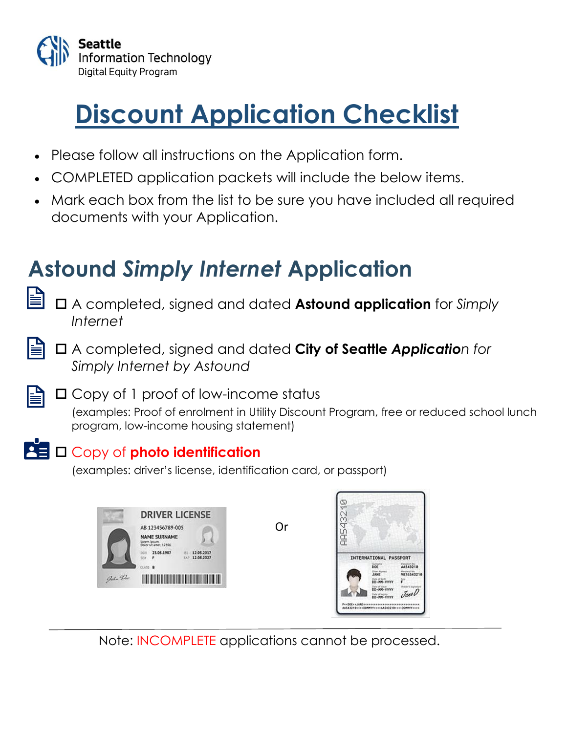

# **Discount Application Checklist**

- Please follow all instructions on the Application form.
- COMPLETED application packets will include the below items.
- Mark each box from the list to be sure you have included all required documents with your Application.

## **Astound** *Simply Internet* **Application**

- A completed, signed and dated **Astound application** for *Simply Internet*
- A completed, signed and dated **City of Seattle** *Application for Simply Internet by Astound*
	- □ Copy of 1 proof of low-income status

(examples: Proof of enrolment in Utility Discount Program, free or reduced school lunch program, low-income housing statement)

### $\overline{P}$   $\Box$  Copy of photo identification

(examples: driver's license, identification card, or passport)



Or



Note: INCOMPLETE applications cannot be processed.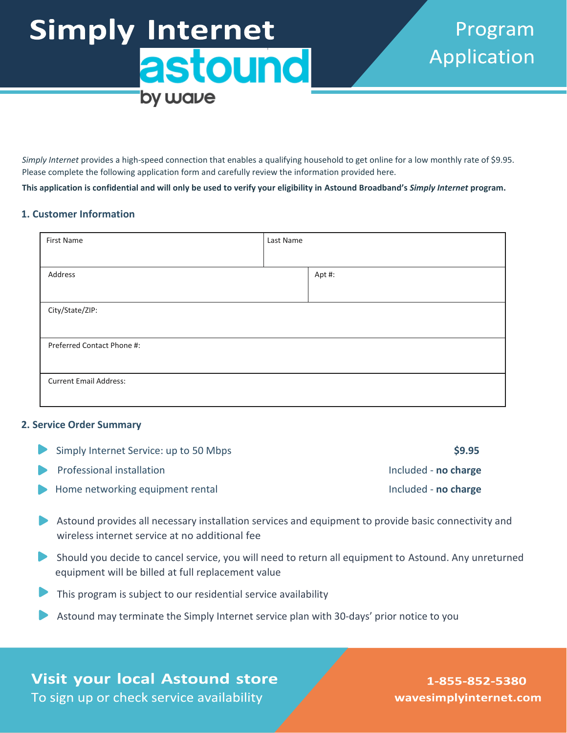# **Simply Internet** astound by wave

*Simply Internet* provides a high-speed connection that enables a qualifying household to get online for a low monthly rate of \$9.95. Please complete the following application form and carefully review the information provided here.

**This application is confidential and will only be used to verify your eligibility in Astound Broadband's** *Simply Internet* **program.**

#### **1. Customer Information**

| First Name                    | Last Name |        |  |  |
|-------------------------------|-----------|--------|--|--|
|                               |           |        |  |  |
| Address                       |           | Apt #: |  |  |
|                               |           |        |  |  |
| City/State/ZIP:               |           |        |  |  |
|                               |           |        |  |  |
| Preferred Contact Phone #:    |           |        |  |  |
|                               |           |        |  |  |
| <b>Current Email Address:</b> |           |        |  |  |
|                               |           |        |  |  |

#### **2. Service Order Summary**

| Simply Internet Service: up to 50 Mbps | \$9.95               |
|----------------------------------------|----------------------|
| Professional installation              | Included - no charge |
| Home networking equipment rental       | Included - no charge |

- Astound provides all necessary installation services and equipment to provide basic connectivity and wireless internet service at no additional fee
- Should you decide to cancel service, you will need to return all equipment to Astound. Any unreturned equipment will be billed at full replacement value
- This program is subject to our residential service availability
- Astound may terminate the Simply Internet service plan with 30-days' prior notice to you

**Visit your local Astound store** To sign up or check service availability

1-855-852-5380 wavesimplyinternet.com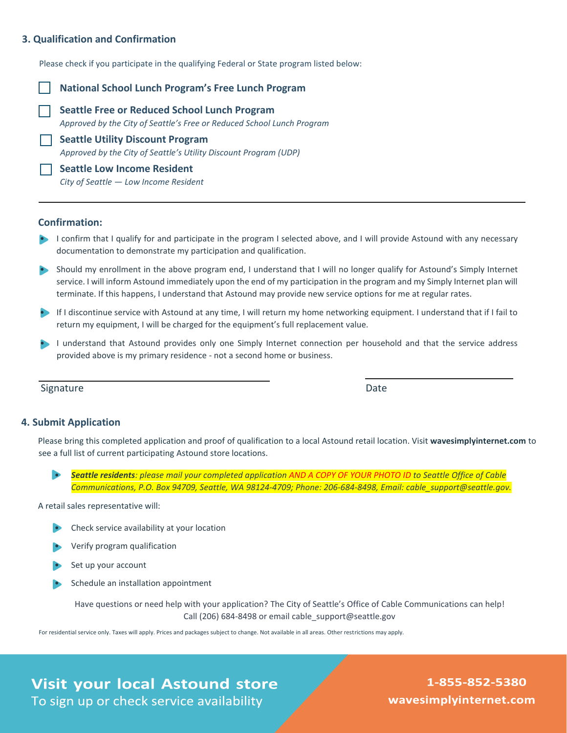#### **3. Qualification and Confirmation**

Please check if you participate in the qualifying Federal or State program listed below:

#### **National School Lunch Program's Free Lunch Program**

**Seattle Free or Reduced School Lunch Program** *Approved by the City of Seattle's Free or Reduced School Lunch Program*

**Seattle Utility Discount Program** *Approved by the City of Seattle's Utility Discount Program (UDP)*

**Seattle Low Income Resident** *City of Seattle — Low Income Resident*

#### **Confirmation:**

- **•** I confirm that I qualify for and participate in the program I selected above, and I will provide Astound with any necessary documentation to demonstrate my participation and qualification.
- Should my enrollment in the above program end, I understand that I will no longer qualify for Astound's Simply Internet service. I will inform Astound immediately upon the end of my participation in the program and my Simply Internet plan will terminate. If this happens, I understand that Astound may provide new service options for me at regular rates.
- If I discontinue service with Astound at any time, I will return my home networking equipment. I understand that if I fail to return my equipment, I will be charged for the equipment's full replacement value.
- I understand that Astound provides only one Simply Internet connection per household and that the service address provided above is my primary residence - not a second home or business.

Signature Date Date of the Date of the Date of the Date of the Date of the Date of the Date of the Date of the Date of the Date of the Date of the Date of the Date of the Date of the Date of the Date of the Date of the Dat

#### **4. Submit Application**

Please bring this completed application and proof of qualification to a local Astound retail location. Visit **wavesimplyinternet.com** to see a full list of current participating Astound store locations.

• *Seattle residents: please mail your completed application AND A COPY OF YOUR PHOTO ID to Seattle Office of Cable Communications, P.O. Box 94709, Seattle, WA 98124-4709; Phone: 206-684-8498, Email: cable\_support@seattle.gov.*

A retail sales representative will:

- Check service availability at your location
- Verify program qualification
- Set up your account
- Schedule an installation appointment

Have questions or need help with your application? The City of Seattle's Office of Cable Communications can help! Call (206) 684-8498 or email cable\_support@seattle.gov

For residential service only. Taxes will apply. Prices and packages subject to change. Not available in all areas. Other restrictions may apply.

**Visit your local Astound store** To sign up or check service availability

1-855-852-5380 wavesimplyinternet.com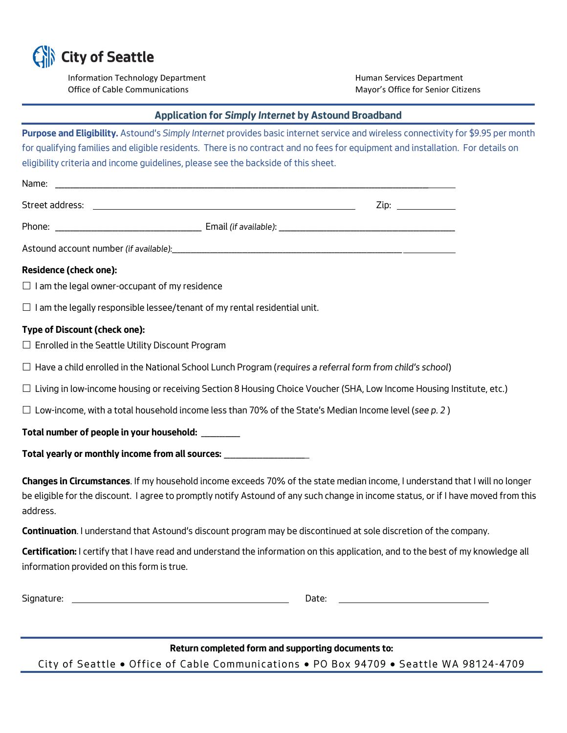

Information Technology Department **Human Services Department** Office of Cable Communications **Mayor's Office for Senior Citizens** Mayor's Office for Senior Citizens

#### **Application for** *Simply Internet* **by Astound Broadband**

| Purpose and Eligibility. Astound's Simply Internet provides basic internet service and wireless connectivity for \$9.95 per month<br>for qualifying families and eligible residents. There is no contract and no fees for equipment and installation. For details on          |  |  |  |
|-------------------------------------------------------------------------------------------------------------------------------------------------------------------------------------------------------------------------------------------------------------------------------|--|--|--|
| eligibility criteria and income guidelines, please see the backside of this sheet.                                                                                                                                                                                            |  |  |  |
| Name: Name: Name: Name: Name: Name: Name: Name: Name: Name: Name: Name: Name: Name: Name: Name: Name: Name: Name: Name: Name: Name: Name: Name: Name: Name: Name: Name: Name: Name: Name: Name: Name: Name: Name: Name: Name:                                                 |  |  |  |
| Zip: the contract of the contract of the contract of the contract of the contract of the contract of the contract of the contract of the contract of the contract of the contract of the contract of the contract of the contr                                                |  |  |  |
|                                                                                                                                                                                                                                                                               |  |  |  |
|                                                                                                                                                                                                                                                                               |  |  |  |
| <b>Residence (check one):</b>                                                                                                                                                                                                                                                 |  |  |  |
| $\Box$ I am the legal owner-occupant of my residence                                                                                                                                                                                                                          |  |  |  |
| $\Box$ I am the legally responsible lessee/tenant of my rental residential unit.                                                                                                                                                                                              |  |  |  |
| <b>Type of Discount (check one):</b><br>$\Box$ Enrolled in the Seattle Utility Discount Program                                                                                                                                                                               |  |  |  |
| $\Box$ Have a child enrolled in the National School Lunch Program (requires a referral form from child's school)                                                                                                                                                              |  |  |  |
| $\Box$ Living in low-income housing or receiving Section 8 Housing Choice Voucher (SHA, Low Income Housing Institute, etc.)                                                                                                                                                   |  |  |  |
| $\Box$ Low-income, with a total household income less than 70% of the State's Median Income level (see p. 2)                                                                                                                                                                  |  |  |  |
| Total number of people in your household: ________                                                                                                                                                                                                                            |  |  |  |
| Total yearly or monthly income from all sources: _________________________                                                                                                                                                                                                    |  |  |  |
| Changes in Circumstances. If my household income exceeds 70% of the state median income, I understand that I will no longer<br>be eligible for the discount. I agree to promptly notify Astound of any such change in income status, or if I have moved from this<br>address. |  |  |  |
| Continuation. I understand that Astound's discount program may be discontinued at sole discretion of the company.                                                                                                                                                             |  |  |  |
| Certification: I certify that I have read and understand the information on this application, and to the best of my knowledge all<br>information provided on this form is true.                                                                                               |  |  |  |

**Return completed form and supporting documents to:** *City of Seattle* • *Office of Cable Communi cations* • *PO Box 94709* • *Seattle WA 98124-4709*

*Signature: Date:*